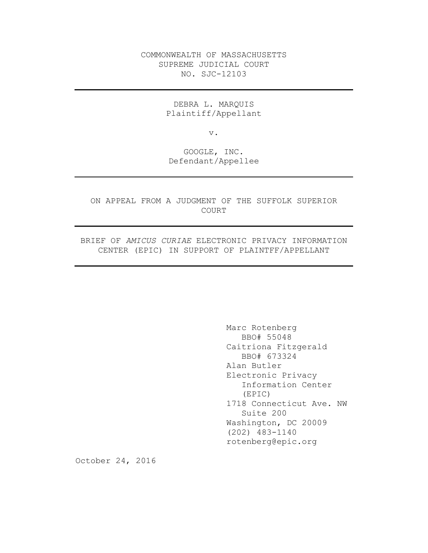COMMONWEALTH OF MASSACHUSETTS SUPREME JUDICIAL COURT NO. SJC-12103

> DEBRA L. MARQUIS Plaintiff/Appellant

> > v.

GOOGLE, INC. Defendant/Appellee

ON APPEAL FROM A JUDGMENT OF THE SUFFOLK SUPERIOR COURT

BRIEF OF *AMICUS CURIAE* ELECTRONIC PRIVACY INFORMATION CENTER (EPIC) IN SUPPORT OF PLAINTFF/APPELLANT

> Marc Rotenberg BBO# 55048 Caitriona Fitzgerald BBO# 673324 Alan Butler Electronic Privacy Information Center (EPIC) 1718 Connecticut Ave. NW Suite 200 Washington, DC 20009 (202) 483-1140 rotenberg@epic.org

October 24, 2016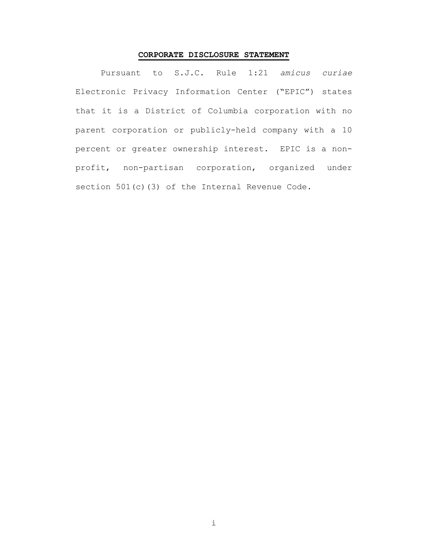## **CORPORATE DISCLOSURE STATEMENT**

Pursuant to S.J.C. Rule 1:21 *amicus curiae* Electronic Privacy Information Center ("EPIC") states that it is a District of Columbia corporation with no parent corporation or publicly-held company with a 10 percent or greater ownership interest. EPIC is a nonprofit, non-partisan corporation, organized under section 501(c)(3) of the Internal Revenue Code.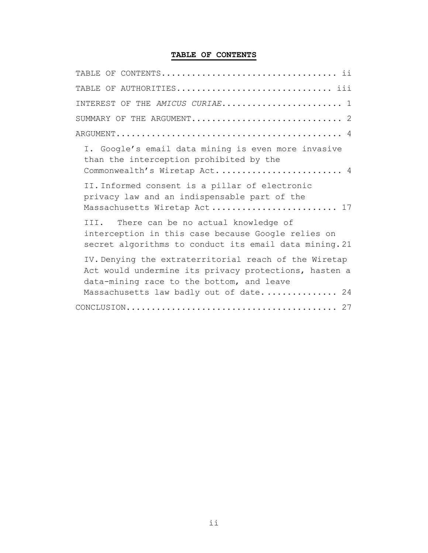# **TABLE OF CONTENTS**

| TABLE OF AUTHORITIES iii                                                                                                                                                                                                                                                                                                                                                                 |
|------------------------------------------------------------------------------------------------------------------------------------------------------------------------------------------------------------------------------------------------------------------------------------------------------------------------------------------------------------------------------------------|
| INTEREST OF THE AMICUS CURIAE 1                                                                                                                                                                                                                                                                                                                                                          |
| SUMMARY OF THE ARGUMENT 2                                                                                                                                                                                                                                                                                                                                                                |
| $\verb+ARGUMENT+ \verb++ \verb+++ \verb++ \verb+++ \verb++++ \verb+++ \verb++++ \verb++++ \verb++++ \verb++++ \verb++++ \verb++++ \verb++++ \verb++++ \verb++++ \verb++++ \verb++++ \verb++++ \verb++++ \verb++++ \verb+++ \verb++++ \verb++++ \verb++++ \verb++++ \verb++++ \verb++++ \verb+++ \verb++++ \verb++++ \verb++++ \verb++++ \verb++++ \verb++++ \verb++++ \verb++++ \verb++$ |
| I. Google's email data mining is even more invasive<br>than the interception prohibited by the<br>Commonwealth's Wiretap Act 4                                                                                                                                                                                                                                                           |
| II. Informed consent is a pillar of electronic<br>privacy law and an indispensable part of the<br>Massachusetts Wiretap Act 17                                                                                                                                                                                                                                                           |
| III. There can be no actual knowledge of<br>interception in this case because Google relies on<br>secret algorithms to conduct its email data mining. 21                                                                                                                                                                                                                                 |
| IV. Denying the extraterritorial reach of the Wiretap<br>Act would undermine its privacy protections, hasten a<br>data-mining race to the bottom, and leave<br>Massachusetts law badly out of date 24                                                                                                                                                                                    |
|                                                                                                                                                                                                                                                                                                                                                                                          |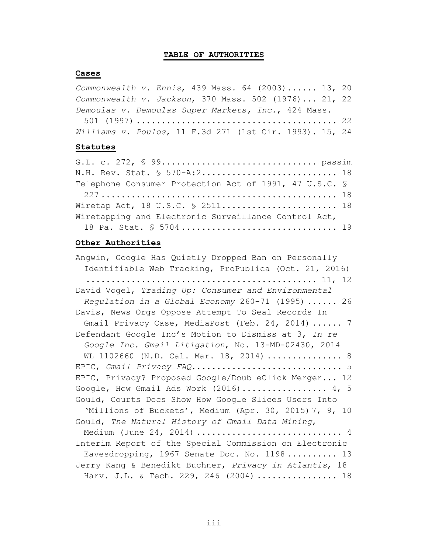#### **TABLE OF AUTHORITIES**

#### **Cases**

| Commonwealth $v$ . Ennis, 439 Mass. 64 (2003) 13, 20   |  |  |  |  |  |
|--------------------------------------------------------|--|--|--|--|--|
| Commonwealth $v.$ Jackson, 370 Mass. 502 (1976) 21, 22 |  |  |  |  |  |
| Demoulas v. Demoulas Super Markets, Inc., 424 Mass.    |  |  |  |  |  |

| Williams v. Poulos, 11 F.3d 271 (1st Cir. 1993). 15, 24 |  |  |  |  |  |
|---------------------------------------------------------|--|--|--|--|--|

#### **Statutes**

| N.H. Rev. Stat. § 570-A:2 18                           |  |
|--------------------------------------------------------|--|
| Telephone Consumer Protection Act of 1991, 47 U.S.C. § |  |
|                                                        |  |
| Wiretap Act, 18 U.S.C. § 2511 18                       |  |
| Wiretapping and Electronic Surveillance Control Act,   |  |
| 18 Pa. Stat. § 5704 19                                 |  |

### **Other Authorities**

Angwin, Google Has Quietly Dropped Ban on Personally Identifiable Web Tracking, ProPublica (Oct. 21, 2016) .............................................. 11, 12 David Vogel, *Trading Up: Consumer and Environmental Regulation in a Global Economy* 260-71 (1995) ...... 26 Davis, News Orgs Oppose Attempt To Seal Records In Gmail Privacy Case, MediaPost (Feb. 24, 2014) ...... 7 Defendant Google Inc's Motion to Dismiss at 3, *In re Google Inc. Gmail Litigation*, No. 13-MD-02430, 2014 WL 1102660 (N.D. Cal. Mar. 18, 2014) ............... 8 EPIC, *Gmail Privacy FAQ*.............................. 5 EPIC, Privacy? Proposed Google/DoubleClick Merger... 12 Google, How Gmail Ads Work  $(2016)$ .................. 4, 5 Gould, Courts Docs Show How Google Slices Users Into 'Millions of Buckets', Medium (Apr. 30, 2015) 7, 9, 10 Gould, *The Natural History of Gmail Data Mining*, Medium (June 24, 2014) ................................ 4 Interim Report of the Special Commission on Electronic Eavesdropping, 1967 Senate Doc. No. 1198.......... 13 Jerry Kang & Benedikt Buchner, *Privacy in Atlantis*, 18 Harv. J.L. & Tech. 229, 246 (2004) ................. 18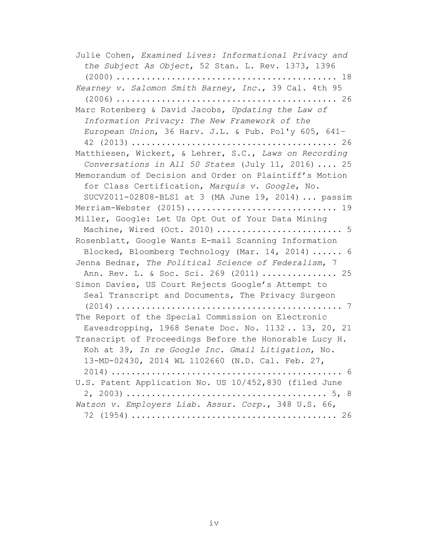Julie Cohen, *Examined Lives: Informational Privacy and the Subject As Object*, 52 Stan. L. Rev. 1373, 1396 (2000) ............................................ 18 *Kearney v. Salomon Smith Barney, Inc.*, 39 Cal. 4th 95 (2006) ............................................ 26 Marc Rotenberg & David Jacobs, *Updating the Law of Information Privacy: The New Framework of the European Union*, 36 Harv. J.L. & Pub. Pol'y 605, 641– 42 (2013) ......................................... 26 Matthiesen, Wickert, & Lehrer, S.C., *Laws on Recording Conversations in All 50 States* (July 11, 2016) .... 25 Memorandum of Decision and Order on Plaintiff's Motion for Class Certification, *Marquis v. Google*, No. SUCV2011-02808-BLS1 at 3 (MA June 19, 2014) ... passim Merriam-Webster (2015).............................. 19 Miller, Google: Let Us Opt Out of Your Data Mining Machine, Wired (Oct. 2010) ............................... 5 Rosenblatt, Google Wants E-mail Scanning Information Blocked, Bloomberg Technology (Mar. 14, 2014) ...... 6 Jenna Bednar, *The Political Science of Federalism*, 7 Ann. Rev. L. & Soc. Sci. 269 (2011) ............... 25 Simon Davies, US Court Rejects Google's Attempt to Seal Transcript and Documents, The Privacy Surgeon (2014) ............................................. 7 The Report of the Special Commission on Electronic Eavesdropping, 1968 Senate Doc. No. 1132 .. 13, 20, 21 Transcript of Proceedings Before the Honorable Lucy H. Koh at 39, *In re Google Inc. Gmail Litigation*, No. 13-MD-02430, 2014 WL 1102660 (N.D. Cal. Feb. 27, 2014) .............................................. 6 U.S. Patent Application No. US 10/452,830 (filed June 2, 2003) ........................................ 5, 8 *Watson v. Employers Liab. Assur. Corp.*, 348 U.S. 66, 72 (1954) ......................................... 26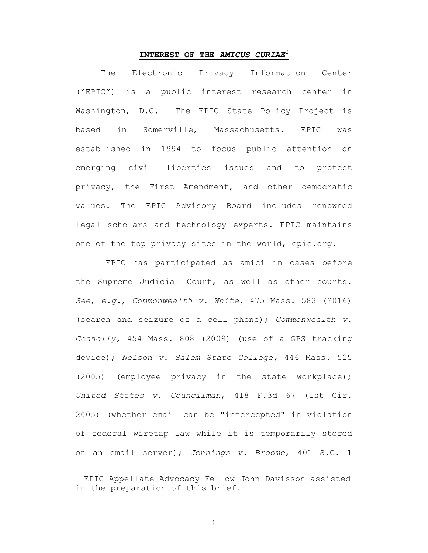### **INTEREST OF THE** *AMICUS CURIAE1*

The Electronic Privacy Information Center ("EPIC") is a public interest research center in Washington, D.C. The EPIC State Policy Project is based in Somerville, Massachusetts. EPIC was established in 1994 to focus public attention on emerging civil liberties issues and to protect privacy, the First Amendment, and other democratic values. The EPIC Advisory Board includes renowned legal scholars and technology experts. EPIC maintains one of the top privacy sites in the world, epic.org.

EPIC has participated as amici in cases before the Supreme Judicial Court, as well as other courts. *See*, *e.g.*, *Commonwealth v. White,* 475 Mass. 583 (2016) (search and seizure of a cell phone); *Commonwealth v. Connolly,* 454 Mass. 808 (2009) (use of a GPS tracking device); *Nelson v. Salem State College,* 446 Mass. 525 (2005) (employee privacy in the state workplace); *United States v. Councilman*, 418 F.3d 67 (1st Cir. 2005) (whether email can be "intercepted" in violation of federal wiretap law while it is temporarily stored on an email server); *Jennings v. Broome*, 401 S.C. 1

EPIC Appellate Advocacy Fellow John Davisson assisted in the preparation of this brief.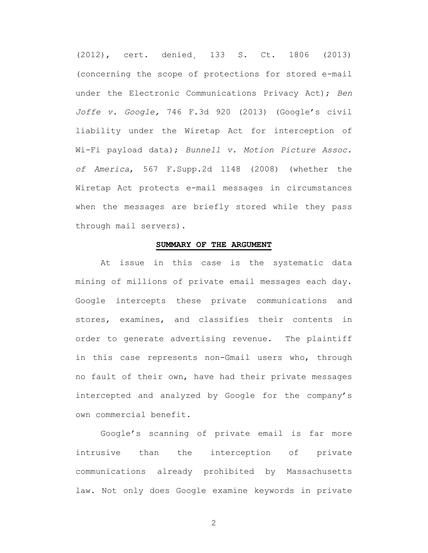(2012), cert. denied¸ 133 S. Ct. 1806 (2013) (concerning the scope of protections for stored e-mail under the Electronic Communications Privacy Act); *Ben Joffe v. Google,* 746 F.3d 920 (2013) (Google's civil liability under the Wiretap Act for interception of Wi-Fi payload data); *Bunnell v. Motion Picture Assoc. of America*, 567 F.Supp.2d 1148 (2008) (whether the Wiretap Act protects e-mail messages in circumstances when the messages are briefly stored while they pass through mail servers).

### **SUMMARY OF THE ARGUMENT**

At issue in this case is the systematic data mining of millions of private email messages each day. Google intercepts these private communications and stores, examines, and classifies their contents in order to generate advertising revenue. The plaintiff in this case represents non-Gmail users who, through no fault of their own, have had their private messages intercepted and analyzed by Google for the company's own commercial benefit.

Google's scanning of private email is far more intrusive than the interception of private communications already prohibited by Massachusetts law. Not only does Google examine keywords in private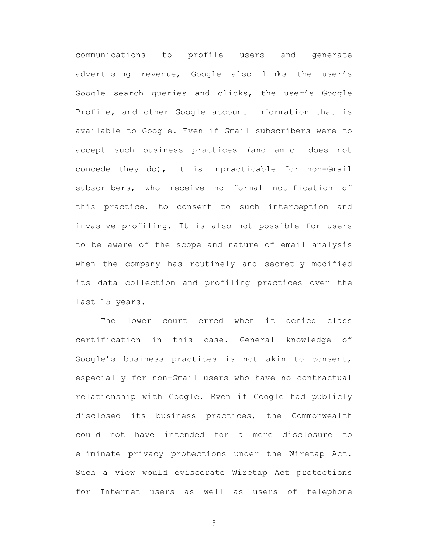communications to profile users and generate advertising revenue, Google also links the user's Google search queries and clicks, the user's Google Profile, and other Google account information that is available to Google. Even if Gmail subscribers were to accept such business practices (and amici does not concede they do), it is impracticable for non-Gmail subscribers, who receive no formal notification of this practice, to consent to such interception and invasive profiling. It is also not possible for users to be aware of the scope and nature of email analysis when the company has routinely and secretly modified its data collection and profiling practices over the last 15 years.

The lower court erred when it denied class certification in this case. General knowledge of Google's business practices is not akin to consent, especially for non-Gmail users who have no contractual relationship with Google. Even if Google had publicly disclosed its business practices, the Commonwealth could not have intended for a mere disclosure to eliminate privacy protections under the Wiretap Act. Such a view would eviscerate Wiretap Act protections for Internet users as well as users of telephone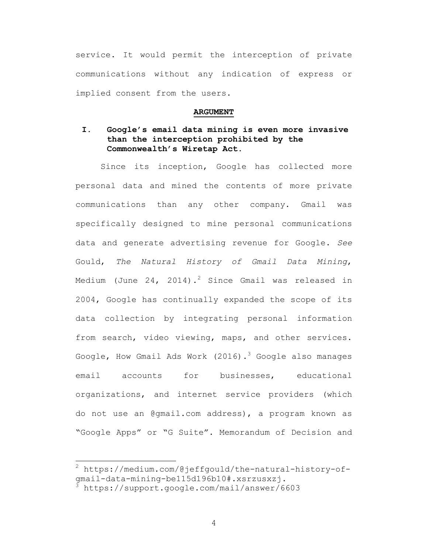service. It would permit the interception of private communications without any indication of express or implied consent from the users.

#### **ARGUMENT**

## **I. Google's email data mining is even more invasive than the interception prohibited by the Commonwealth's Wiretap Act.**

Since its inception, Google has collected more personal data and mined the contents of more private communications than any other company. Gmail was specifically designed to mine personal communications data and generate advertising revenue for Google. *See*  Gould, *The Natural History of Gmail Data Mining*, Medium (June 24, 2014).<sup>2</sup> Since Gmail was released in 2004, Google has continually expanded the scope of its data collection by integrating personal information from search, video viewing, maps, and other services. Google, How Gmail Ads Work (2016).<sup>3</sup> Google also manages email accounts for businesses, educational organizations, and internet service providers (which do not use an @gmail.com address), a program known as "Google Apps" or "G Suite". Memorandum of Decision and

 <sup>2</sup> https://medium.com/@jeffgould/the-natural-history-ofgmail-data-mining-be115d196b10#.xsrzusxzj. <sup>3</sup> https://support.google.com/mail/answer/6603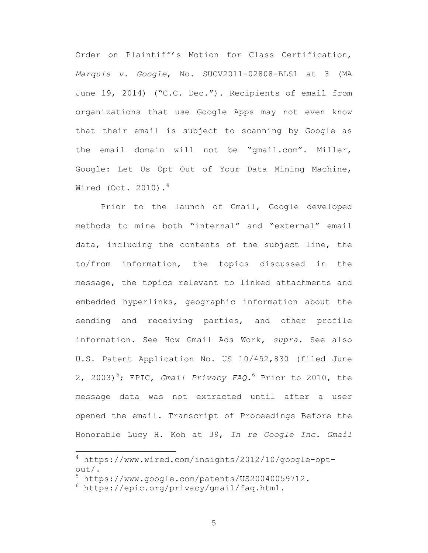Order on Plaintiff's Motion for Class Certification, *Marquis v. Google*, No. SUCV2011-02808-BLS1 at 3 (MA June 19, 2014) ("C.C. Dec."). Recipients of email from organizations that use Google Apps may not even know that their email is subject to scanning by Google as the email domain will not be "gmail.com". Miller, Google: Let Us Opt Out of Your Data Mining Machine, Wired (Oct. 2010). $4$ 

Prior to the launch of Gmail, Google developed methods to mine both "internal" and "external" email data, including the contents of the subject line, the to/from information, the topics discussed in the message, the topics relevant to linked attachments and embedded hyperlinks, geographic information about the sending and receiving parties, and other profile information. See How Gmail Ads Work, *supra.* See also U.S. Patent Application No. US 10/452,830 (filed June 2, 2003)<sup>5</sup>; EPIC, *Gmail Privacy FAQ*.<sup>6</sup> Prior to 2010, the message data was not extracted until after a user opened the email. Transcript of Proceedings Before the Honorable Lucy H. Koh at 39, *In re Google Inc. Gmail* 

 <sup>4</sup> https://www.wired.com/insights/2012/10/google-optout/.<br><sup>5</sup> https://www.google.com/patents/US20040059712.<br><sup>6</sup> https://epic.org/privacy/gmail/faq.html.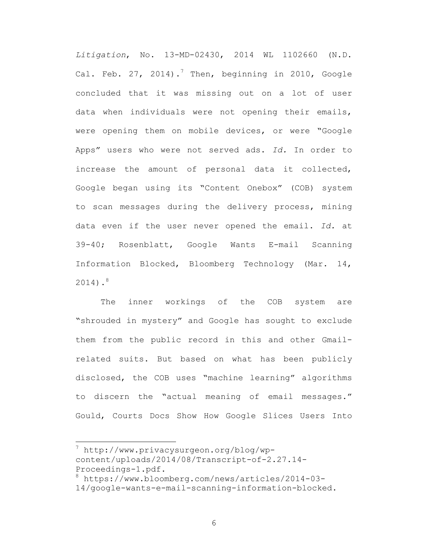*Litigation*, No. 13-MD-02430, 2014 WL 1102660 (N.D. Cal. Feb. 27, 2014).<sup>7</sup> Then, beginning in 2010, Google concluded that it was missing out on a lot of user data when individuals were not opening their emails, were opening them on mobile devices, or were "Google Apps" users who were not served ads. *Id.* In order to increase the amount of personal data it collected, Google began using its "Content Onebox" (COB) system to scan messages during the delivery process, mining data even if the user never opened the email. *Id.* at 39-40; Rosenblatt, Google Wants E-mail Scanning Information Blocked, Bloomberg Technology (Mar. 14,  $2014)$ .<sup>8</sup>

The inner workings of the COB system are "shrouded in mystery" and Google has sought to exclude them from the public record in this and other Gmailrelated suits. But based on what has been publicly disclosed, the COB uses "machine learning" algorithms to discern the "actual meaning of email messages." Gould, Courts Docs Show How Google Slices Users Into

 $^7$  http://www.privacysurgeon.org/blog/wpcontent/uploads/2014/08/Transcript-of-2.27.14- Proceedings-1.pdf.<br><sup>8</sup> https://www.bloomberg.com/news/articles/2014-03-

<sup>14/</sup>google-wants-e-mail-scanning-information-blocked.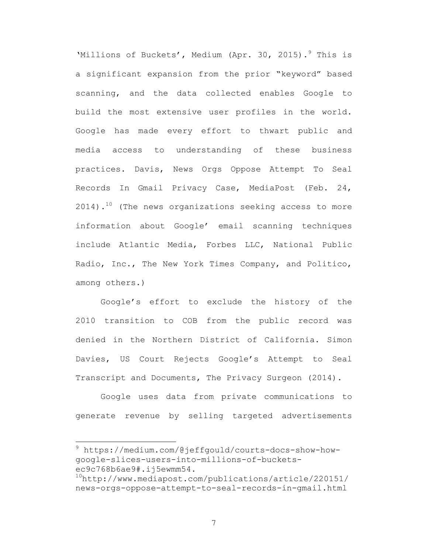'Millions of Buckets', Medium (Apr. 30, 2015). <sup>9</sup> This is a significant expansion from the prior "keyword" based scanning, and the data collected enables Google to build the most extensive user profiles in the world. Google has made every effort to thwart public and media access to understanding of these business practices. Davis, News Orgs Oppose Attempt To Seal Records In Gmail Privacy Case, MediaPost (Feb. 24,  $2014)$ .<sup>10</sup> (The news organizations seeking access to more information about Google' email scanning techniques include Atlantic Media, Forbes LLC, National Public Radio, Inc., The New York Times Company, and Politico, among others.)

Google's effort to exclude the history of the 2010 transition to COB from the public record was denied in the Northern District of California. Simon Davies, US Court Rejects Google's Attempt to Seal Transcript and Documents, The Privacy Surgeon (2014).

Google uses data from private communications to generate revenue by selling targeted advertisements

 <sup>9</sup> https://medium.com/@jeffgould/courts-docs-show-howgoogle-slices-users-into-millions-of-bucketsec9c768b6ae9#.ij5ewmm54.<br><sup>10</sup>http://www.mediapost.com/publications/article/220151/

news-orgs-oppose-attempt-to-seal-records-in-gmail.html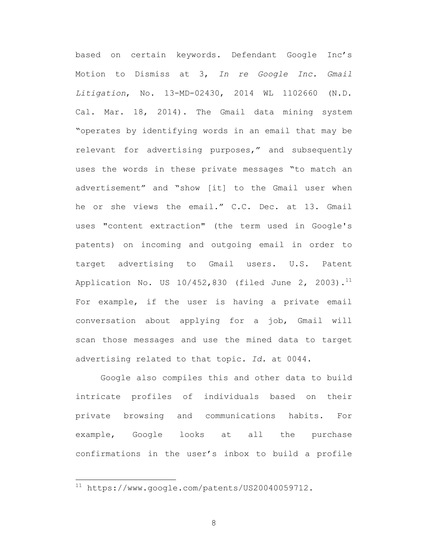based on certain keywords. Defendant Google Inc's Motion to Dismiss at 3, *In re Google Inc. Gmail Litigation*, No. 13-MD-02430, 2014 WL 1102660 (N.D. Cal. Mar. 18, 2014). The Gmail data mining system "operates by identifying words in an email that may be relevant for advertising purposes," and subsequently uses the words in these private messages "to match an advertisement" and "show [it] to the Gmail user when he or she views the email." C.C. Dec. at 13. Gmail uses "content extraction" (the term used in Google's patents) on incoming and outgoing email in order to target advertising to Gmail users. U.S. Patent Application No. US  $10/452,830$  (filed June 2, 2003).<sup>11</sup> For example, if the user is having a private email conversation about applying for a job, Gmail will scan those messages and use the mined data to target advertising related to that topic. *Id.* at 0044.

Google also compiles this and other data to build intricate profiles of individuals based on their private browsing and communications habits. For example, Google looks at all the purchase confirmations in the user's inbox to build a profile

 <sup>11</sup> https://www.google.com/patents/US20040059712.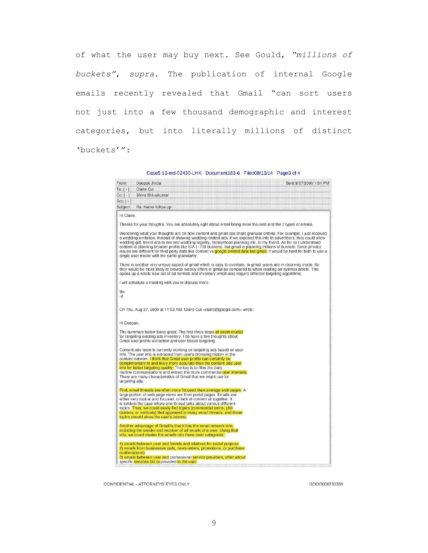of what the user may buy next. See Gould, *"millions of buckets"*, *supra*. The publication of internal Google emails recently revealed that Gmail "can sort users not just into a few thousand demographic and interest categories, but into literally millions of distinct 'buckets'":

Case5:13-md-02430-LHK Document183-6 Filed08/13/14 Page3 of 4

| From:                 | Deepak Jindal                                                                                                                                                                                            | Sent:8/27/2009 1:51 PM                                                                                                                                                                                                                                                                                                                                                                                                                                                                                                                                                                                                   |
|-----------------------|----------------------------------------------------------------------------------------------------------------------------------------------------------------------------------------------------------|--------------------------------------------------------------------------------------------------------------------------------------------------------------------------------------------------------------------------------------------------------------------------------------------------------------------------------------------------------------------------------------------------------------------------------------------------------------------------------------------------------------------------------------------------------------------------------------------------------------------------|
| $To: \lceil - \rceil$ | Claire Cui                                                                                                                                                                                               |                                                                                                                                                                                                                                                                                                                                                                                                                                                                                                                                                                                                                          |
| Co: 1:1               | Shiva Shivakumar                                                                                                                                                                                         |                                                                                                                                                                                                                                                                                                                                                                                                                                                                                                                                                                                                                          |
| $Bcc: \{-1\}$         |                                                                                                                                                                                                          |                                                                                                                                                                                                                                                                                                                                                                                                                                                                                                                                                                                                                          |
| Subject:              | Re: Nemo follow up                                                                                                                                                                                       |                                                                                                                                                                                                                                                                                                                                                                                                                                                                                                                                                                                                                          |
| Hi Claire,            |                                                                                                                                                                                                          |                                                                                                                                                                                                                                                                                                                                                                                                                                                                                                                                                                                                                          |
|                       |                                                                                                                                                                                                          |                                                                                                                                                                                                                                                                                                                                                                                                                                                                                                                                                                                                                          |
|                       |                                                                                                                                                                                                          | Thanks for your thoughts. You are absolutely right about email being more focused and the 3 types of emails.                                                                                                                                                                                                                                                                                                                                                                                                                                                                                                             |
|                       | single user model with the same granularity.                                                                                                                                                             | Wondering what your thoughts are on how content and gmail can share granular criteria. For example, I just received<br>a wedding invitation. Instead of showing wedding related ads, if we exposed this info to advertisers, they could show<br>wedding gift, travel ads to me and wedding registry, honeymoon planning etc. to my friend. As far as I understand<br>content is planning broader profile like IBA (~700 buckets), but gmail is planning millions of buckets. Since privacy<br>issues are different for third party data like content vs google owned data like gmail, it would be hard for both to use a |
|                       | opens up a whole new set of ad formats and inventory which also require different targeting algorithms.                                                                                                  | There is another very unique aspect of gmail which is easy to overlook. In gmail, users are in receiving mode, So<br>they would be more likely to browse weekly offers in gmail as compared to when reading an nytimes article. This                                                                                                                                                                                                                                                                                                                                                                                     |
|                       | I will schedule a meeting with you to discuss more.                                                                                                                                                      |                                                                                                                                                                                                                                                                                                                                                                                                                                                                                                                                                                                                                          |
| thx                   |                                                                                                                                                                                                          |                                                                                                                                                                                                                                                                                                                                                                                                                                                                                                                                                                                                                          |
| -d                    |                                                                                                                                                                                                          |                                                                                                                                                                                                                                                                                                                                                                                                                                                                                                                                                                                                                          |
|                       | On Thu, Aug 27, 2009 at 11:52 AM, Claire Cui <claire@google.com> wrote:</claire@google.com>                                                                                                              |                                                                                                                                                                                                                                                                                                                                                                                                                                                                                                                                                                                                                          |
| Hi Deepak,            |                                                                                                                                                                                                          |                                                                                                                                                                                                                                                                                                                                                                                                                                                                                                                                                                                                                          |
|                       | The summary below looks great. The first three steps all seem crucial<br>for targeting existing ads inventory. I do have a few thoughts about<br>Gmail user profile extraction and user based targeting. |                                                                                                                                                                                                                                                                                                                                                                                                                                                                                                                                                                                                                          |
|                       | Content-ads team is currently working on targeting ads based on user<br>info. The user info is extracted from user's browsing history in the                                                             |                                                                                                                                                                                                                                                                                                                                                                                                                                                                                                                                                                                                                          |
|                       | content network. I think that Gmail user profile can certainly be<br>complimentary to and likely more accurate than the content-ads user                                                                 |                                                                                                                                                                                                                                                                                                                                                                                                                                                                                                                                                                                                                          |
|                       | info for better targeting quality. The key is to filter the daily                                                                                                                                        |                                                                                                                                                                                                                                                                                                                                                                                                                                                                                                                                                                                                                          |
|                       | routine communications and extract the more commercial user interests.<br>There are many characteristics of Gmail that we might use for                                                                  |                                                                                                                                                                                                                                                                                                                                                                                                                                                                                                                                                                                                                          |
| targeting ads.        |                                                                                                                                                                                                          |                                                                                                                                                                                                                                                                                                                                                                                                                                                                                                                                                                                                                          |
|                       | First, email threads are often more focused than average web pages. A                                                                                                                                    |                                                                                                                                                                                                                                                                                                                                                                                                                                                                                                                                                                                                                          |
|                       | large portion of web page views are from portal pages. Emails are                                                                                                                                        |                                                                                                                                                                                                                                                                                                                                                                                                                                                                                                                                                                                                                          |
|                       | either very topical and focused, or lack of content all together. It<br>is seldom the case where one thread talks about various different                                                                |                                                                                                                                                                                                                                                                                                                                                                                                                                                                                                                                                                                                                          |
|                       | topics. Thus, we could easily find topics (commercial terms, phil                                                                                                                                        |                                                                                                                                                                                                                                                                                                                                                                                                                                                                                                                                                                                                                          |
|                       | clusters, or verticals) that appeared in many email threads, and those                                                                                                                                   |                                                                                                                                                                                                                                                                                                                                                                                                                                                                                                                                                                                                                          |
|                       | topics should show the user's interest.                                                                                                                                                                  |                                                                                                                                                                                                                                                                                                                                                                                                                                                                                                                                                                                                                          |
|                       | Another advantage of Gmail is that it has the email network info.                                                                                                                                        |                                                                                                                                                                                                                                                                                                                                                                                                                                                                                                                                                                                                                          |
|                       | including the sender and receiver of all emails of a user. Using that<br>info, we could cluster the emails into three main categories:                                                                   |                                                                                                                                                                                                                                                                                                                                                                                                                                                                                                                                                                                                                          |
|                       | 1) emails between user and friends and relatives for social purpose                                                                                                                                      |                                                                                                                                                                                                                                                                                                                                                                                                                                                                                                                                                                                                                          |
|                       | 2) emails from businesses (ads, news-letters, promotions, or purchase                                                                                                                                    |                                                                                                                                                                                                                                                                                                                                                                                                                                                                                                                                                                                                                          |
| confirmations)        | 3) emails between user and professional service providers, often about                                                                                                                                   |                                                                                                                                                                                                                                                                                                                                                                                                                                                                                                                                                                                                                          |
|                       | specific services bid or provided to the user.                                                                                                                                                           |                                                                                                                                                                                                                                                                                                                                                                                                                                                                                                                                                                                                                          |

CONFIDENTIAL - ATTORNEYS' EYES ONLY

GOOG000733356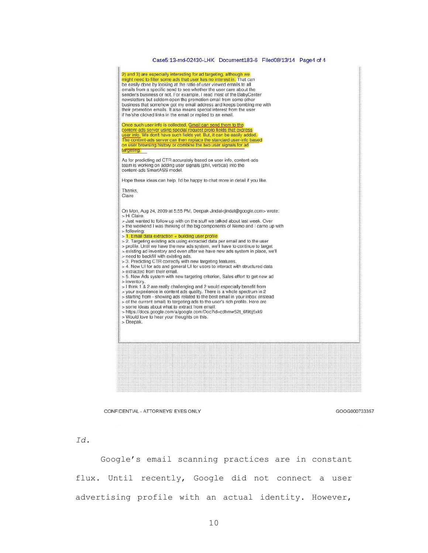#### Case5:13-md-02430-LHK Document183-6 Filed08/13/14 Page4 of 4



CONFIDENTIAL - ATTORNEYS' EYES ONLY

GOOG000733357

*Id.*

Google's email scanning practices are in constant flux. Until recently, Google did not connect a user advertising profile with an actual identity. However,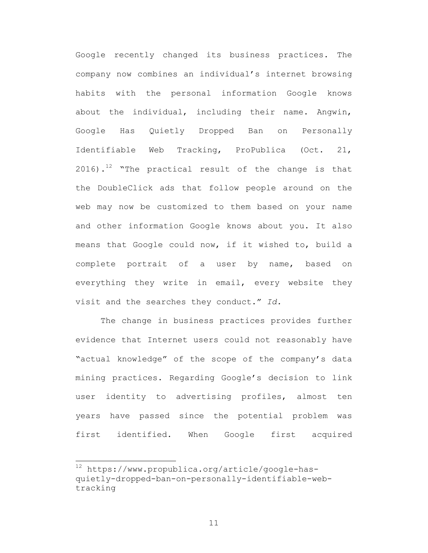Google recently changed its business practices. The company now combines an individual's internet browsing habits with the personal information Google knows about the individual, including their name. Angwin, Google Has Quietly Dropped Ban on Personally Identifiable Web Tracking, ProPublica (Oct. 21, 2016).<sup>12</sup> "The practical result of the change is that the DoubleClick ads that follow people around on the web may now be customized to them based on your name and other information Google knows about you. It also means that Google could now, if it wished to, build a complete portrait of a user by name, based on everything they write in email, every website they visit and the searches they conduct." *Id.*

The change in business practices provides further evidence that Internet users could not reasonably have "actual knowledge" of the scope of the company's data mining practices. Regarding Google's decision to link user identity to advertising profiles, almost ten years have passed since the potential problem was first identified. When Google first acquired

 <sup>12</sup> https://www.propublica.org/article/google-hasquietly-dropped-ban-on-personally-identifiable-webtracking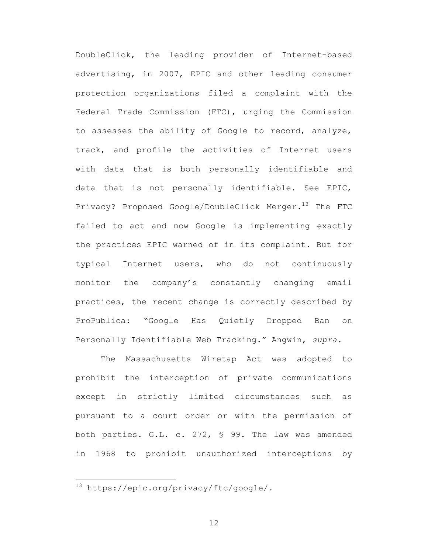DoubleClick, the leading provider of Internet-based advertising, in 2007, EPIC and other leading consumer protection organizations filed a complaint with the Federal Trade Commission (FTC), urging the Commission to assesses the ability of Google to record, analyze, track, and profile the activities of Internet users with data that is both personally identifiable and data that is not personally identifiable. See EPIC, Privacy? Proposed Google/DoubleClick Merger.<sup>13</sup> The FTC failed to act and now Google is implementing exactly the practices EPIC warned of in its complaint. But for typical Internet users, who do not continuously monitor the company's constantly changing email practices, the recent change is correctly described by ProPublica: "Google Has Quietly Dropped Ban on Personally Identifiable Web Tracking." Angwin, *supra.*

The Massachusetts Wiretap Act was adopted to prohibit the interception of private communications except in strictly limited circumstances such as pursuant to a court order or with the permission of both parties. G.L. c. 272, § 99. The law was amended in 1968 to prohibit unauthorized interceptions by

 <sup>13</sup> https://epic.org/privacy/ftc/google/.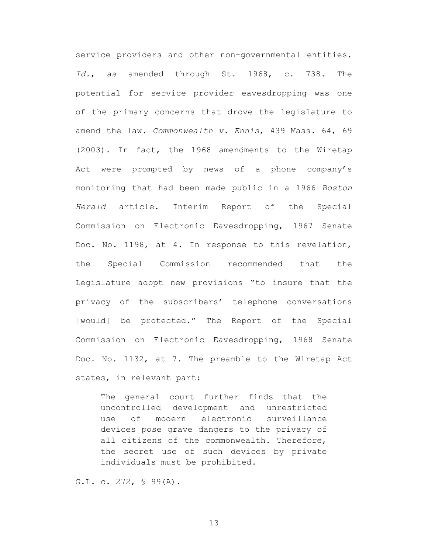service providers and other non-governmental entities. *Id.*, as amended through St. 1968, c. 738. The potential for service provider eavesdropping was one of the primary concerns that drove the legislature to amend the law. *Commonwealth v. Ennis*, 439 Mass. 64, 69 (2003). In fact, the 1968 amendments to the Wiretap Act were prompted by news of a phone company's monitoring that had been made public in a 1966 *Boston Herald* article. Interim Report of the Special Commission on Electronic Eavesdropping, 1967 Senate Doc. No. 1198, at 4. In response to this revelation, the Special Commission recommended that the Legislature adopt new provisions "to insure that the privacy of the subscribers' telephone conversations [would] be protected." The Report of the Special Commission on Electronic Eavesdropping, 1968 Senate Doc. No. 1132, at 7. The preamble to the Wiretap Act states, in relevant part:

The general court further finds that the uncontrolled development and unrestricted use of modern electronic surveillance devices pose grave dangers to the privacy of all citizens of the commonwealth. Therefore, the secret use of such devices by private individuals must be prohibited.

G.L. c. 272, § 99(A).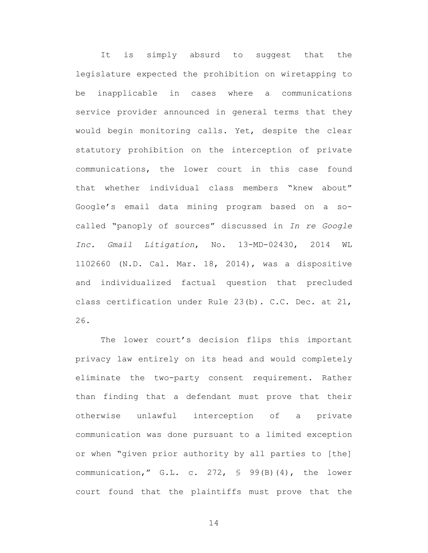It is simply absurd to suggest that the legislature expected the prohibition on wiretapping to be inapplicable in cases where a communications service provider announced in general terms that they would begin monitoring calls. Yet, despite the clear statutory prohibition on the interception of private communications, the lower court in this case found that whether individual class members "knew about" Google's email data mining program based on a socalled "panoply of sources" discussed in *In re Google Inc. Gmail Litigation*, No. 13-MD-02430, 2014 WL 1102660 (N.D. Cal. Mar. 18, 2014), was a dispositive and individualized factual question that precluded class certification under Rule 23(b). C.C. Dec. at 21, 26.

The lower court's decision flips this important privacy law entirely on its head and would completely eliminate the two-party consent requirement. Rather than finding that a defendant must prove that their otherwise unlawful interception of a private communication was done pursuant to a limited exception or when "given prior authority by all parties to [the] communication," G.L. c. 272, § 99(B)(4), the lower court found that the plaintiffs must prove that the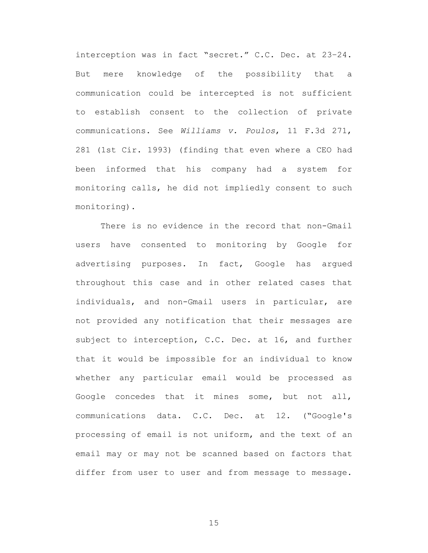interception was in fact "secret." C.C. Dec. at 23–24. But mere knowledge of the possibility that a communication could be intercepted is not sufficient to establish consent to the collection of private communications. See *Williams v. Poulos*, 11 F.3d 271, 281 (1st Cir. 1993) (finding that even where a CEO had been informed that his company had a system for monitoring calls, he did not impliedly consent to such monitoring).

There is no evidence in the record that non-Gmail users have consented to monitoring by Google for advertising purposes. In fact, Google has argued throughout this case and in other related cases that individuals, and non-Gmail users in particular, are not provided any notification that their messages are subject to interception, C.C. Dec. at 16, and further that it would be impossible for an individual to know whether any particular email would be processed as Google concedes that it mines some, but not all, communications data. C.C. Dec. at 12. ("Google's processing of email is not uniform, and the text of an email may or may not be scanned based on factors that differ from user to user and from message to message.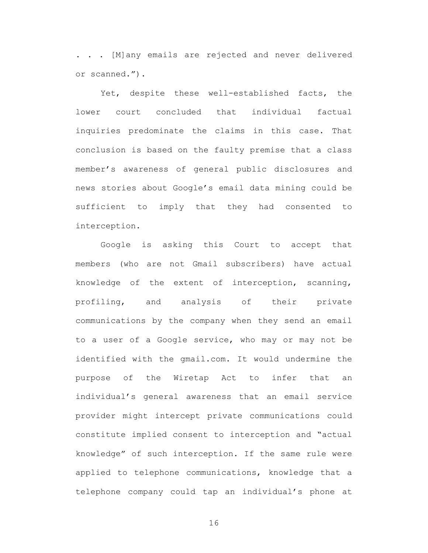. . . [M]any emails are rejected and never delivered or scanned.").

Yet, despite these well-established facts, the lower court concluded that individual factual inquiries predominate the claims in this case. That conclusion is based on the faulty premise that a class member's awareness of general public disclosures and news stories about Google's email data mining could be sufficient to imply that they had consented to interception.

Google is asking this Court to accept that members (who are not Gmail subscribers) have actual knowledge of the extent of interception, scanning, profiling, and analysis of their private communications by the company when they send an email to a user of a Google service, who may or may not be identified with the gmail.com. It would undermine the purpose of the Wiretap Act to infer that an individual's general awareness that an email service provider might intercept private communications could constitute implied consent to interception and "actual knowledge" of such interception. If the same rule were applied to telephone communications, knowledge that a telephone company could tap an individual's phone at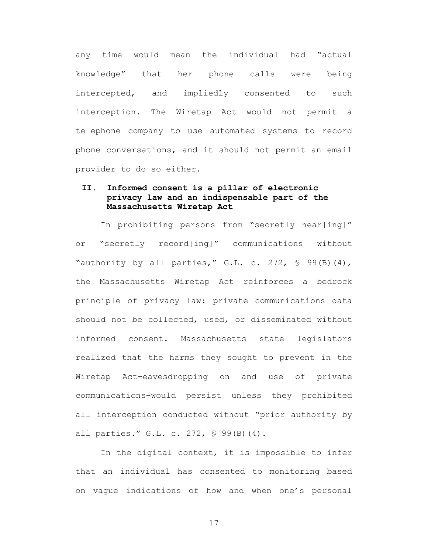any time would mean the individual had "actual knowledge" that her phone calls were being intercepted, and impliedly consented to such interception. The Wiretap Act would not permit a telephone company to use automated systems to record phone conversations, and it should not permit an email provider to do so either.

## **II. Informed consent is a pillar of electronic privacy law and an indispensable part of the Massachusetts Wiretap Act**

In prohibiting persons from "secretly hear[ing]" or "secretly record[ing]" communications without "authority by all parties," G.L. c. 272,  $\frac{1}{5}$  99(B)(4), the Massachusetts Wiretap Act reinforces a bedrock principle of privacy law: private communications data should not be collected, used, or disseminated without informed consent. Massachusetts state legislators realized that the harms they sought to prevent in the Wiretap Act–eavesdropping on and use of private communications–would persist unless they prohibited all interception conducted without "prior authority by all parties." G.L. c. 272, § 99(B)(4).

In the digital context, it is impossible to infer that an individual has consented to monitoring based on vague indications of how and when one's personal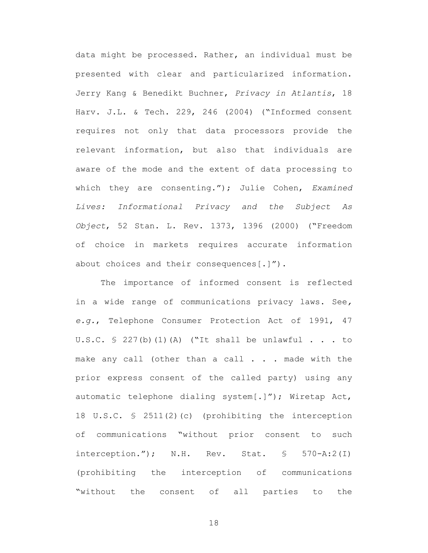data might be processed. Rather, an individual must be presented with clear and particularized information. Jerry Kang & Benedikt Buchner, *Privacy in Atlantis*, 18 Harv. J.L. & Tech. 229, 246 (2004) ("Informed consent requires not only that data processors provide the relevant information, but also that individuals are aware of the mode and the extent of data processing to which they are consenting."); Julie Cohen, *Examined Lives: Informational Privacy and the Subject As Object*, 52 Stan. L. Rev. 1373, 1396 (2000) ("Freedom of choice in markets requires accurate information about choices and their consequences[.]").

The importance of informed consent is reflected in a wide range of communications privacy laws. See*, e.g.*, Telephone Consumer Protection Act of 1991, 47 U.S.C.  $\frac{1}{2}$  227(b)(1)(A) ("It shall be unlawful . . . to make any call (other than a call . . . made with the prior express consent of the called party) using any automatic telephone dialing system[.]"); Wiretap Act, 18 U.S.C. § 2511(2)(c) (prohibiting the interception of communications "without prior consent to such interception."); N.H. Rev. Stat. § 570-A:2(I) (prohibiting the interception of communications "without the consent of all parties to the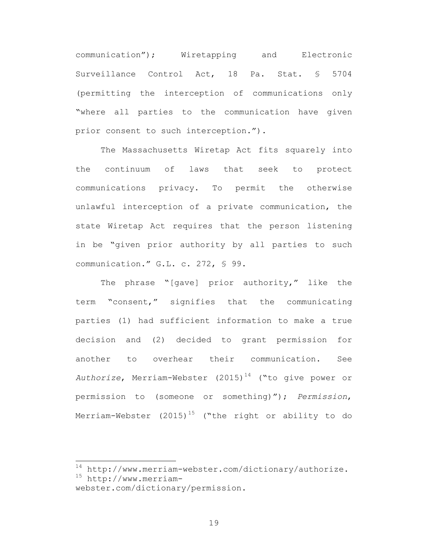communication"); Wiretapping and Electronic Surveillance Control Act, 18 Pa. Stat. § 5704 (permitting the interception of communications only "where all parties to the communication have given prior consent to such interception.").

The Massachusetts Wiretap Act fits squarely into the continuum of laws that seek to protect communications privacy. To permit the otherwise unlawful interception of a private communication, the state Wiretap Act requires that the person listening in be "given prior authority by all parties to such communication." G.L. c. 272, § 99.

The phrase "[gave] prior authority," like the term "consent," signifies that the communicating parties (1) had sufficient information to make a true decision and (2) decided to grant permission for another to overhear their communication. See Authorize, Merriam-Webster (2015)<sup>14</sup> ("to give power or permission to (someone or something)"); *Permission*, Merriam-Webster  $(2015)^{15}$  ("the right or ability to do

 $14$  http://www.merriam-webster.com/dictionary/authorize.<br> $15$  http://www.merriam-

webster.com/dictionary/permission.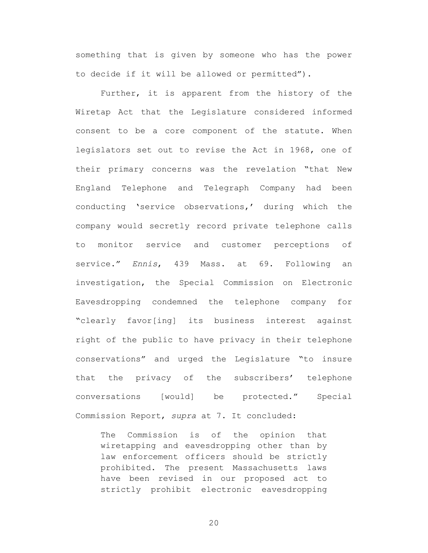something that is given by someone who has the power to decide if it will be allowed or permitted").

Further, it is apparent from the history of the Wiretap Act that the Legislature considered informed consent to be a core component of the statute. When legislators set out to revise the Act in 1968, one of their primary concerns was the revelation "that New England Telephone and Telegraph Company had been conducting 'service observations,' during which the company would secretly record private telephone calls to monitor service and customer perceptions of service." *Ennis*, 439 Mass. at 69. Following an investigation, the Special Commission on Electronic Eavesdropping condemned the telephone company for "clearly favor[ing] its business interest against right of the public to have privacy in their telephone conservations" and urged the Legislature "to insure that the privacy of the subscribers' telephone conversations [would] be protected." Special Commission Report, *supra* at 7. It concluded:

The Commission is of the opinion that wiretapping and eavesdropping other than by law enforcement officers should be strictly prohibited. The present Massachusetts laws have been revised in our proposed act to strictly prohibit electronic eavesdropping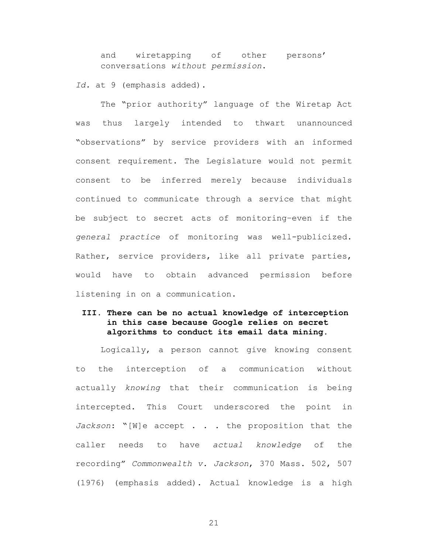and wiretapping of other persons' conversations *without permission*.

*Id.* at 9 (emphasis added).

The "prior authority" language of the Wiretap Act was thus largely intended to thwart unannounced "observations" by service providers with an informed consent requirement. The Legislature would not permit consent to be inferred merely because individuals continued to communicate through a service that might be subject to secret acts of monitoring–even if the *general practice* of monitoring was well-publicized. Rather, service providers, like all private parties, would have to obtain advanced permission before listening in on a communication.

## **III. There can be no actual knowledge of interception in this case because Google relies on secret algorithms to conduct its email data mining.**

Logically, a person cannot give knowing consent to the interception of a communication without actually *knowing* that their communication is being intercepted. This Court underscored the point in *Jackson*: "[W]e accept . . . the proposition that the caller needs to have *actual knowledge* of the recording" *Commonwealth v. Jackson*, 370 Mass. 502, 507 (1976) (emphasis added). Actual knowledge is a high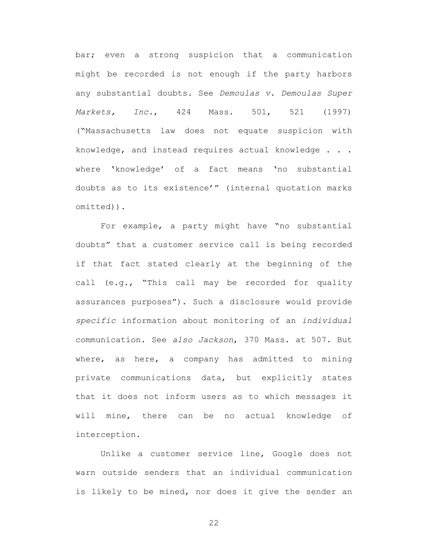bar; even a strong suspicion that a communication might be recorded is not enough if the party harbors any substantial doubts. See *Demoulas v. Demoulas Super Markets, Inc.*, 424 Mass. 501, 521 (1997) ("Massachusetts law does not equate suspicion with knowledge, and instead requires actual knowledge . . . where 'knowledge' of a fact means 'no substantial doubts as to its existence'" (internal quotation marks omitted)).

For example, a party might have "no substantial doubts" that a customer service call is being recorded if that fact stated clearly at the beginning of the call (e.g., "This call may be recorded for quality assurances purposes"). Such a disclosure would provide *specific* information about monitoring of an *individual* communication. See *also Jackson*, 370 Mass. at 507. But where, as here, a company has admitted to mining private communications data, but explicitly states that it does not inform users as to which messages it will mine, there can be no actual knowledge of interception.

Unlike a customer service line, Google does not warn outside senders that an individual communication is likely to be mined, nor does it give the sender an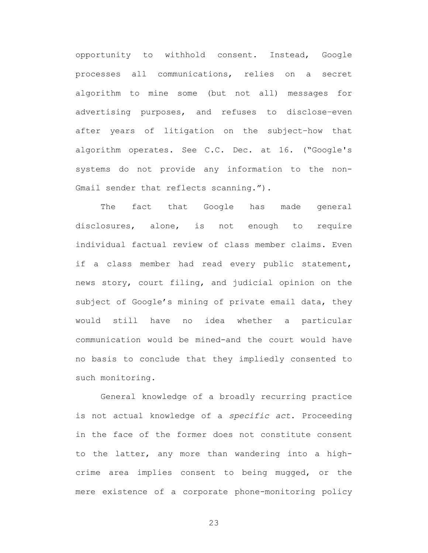opportunity to withhold consent. Instead, Google processes all communications, relies on a secret algorithm to mine some (but not all) messages for advertising purposes, and refuses to disclose–even after years of litigation on the subject–how that algorithm operates. See C.C. Dec. at 16. ("Google's systems do not provide any information to the non-Gmail sender that reflects scanning.").

The fact that Google has made general disclosures, alone, is not enough to require individual factual review of class member claims. Even if a class member had read every public statement, news story, court filing, and judicial opinion on the subject of Google's mining of private email data, they would still have no idea whether a particular communication would be mined-and the court would have no basis to conclude that they impliedly consented to such monitoring.

General knowledge of a broadly recurring practice is not actual knowledge of a *specific act*. Proceeding in the face of the former does not constitute consent to the latter, any more than wandering into a highcrime area implies consent to being mugged, or the mere existence of a corporate phone-monitoring policy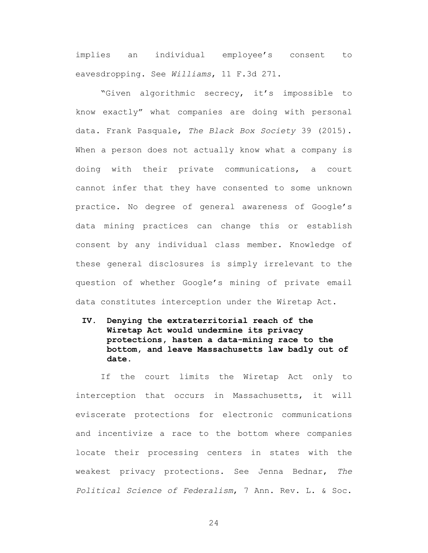implies an individual employee's consent to eavesdropping. See *Williams*, 11 F.3d 271.

"Given algorithmic secrecy, it's impossible to know exactly" what companies are doing with personal data. Frank Pasquale, *The Black Box Society* 39 (2015). When a person does not actually know what a company is doing with their private communications, a court cannot infer that they have consented to some unknown practice. No degree of general awareness of Google's data mining practices can change this or establish consent by any individual class member. Knowledge of these general disclosures is simply irrelevant to the question of whether Google's mining of private email data constitutes interception under the Wiretap Act.

**IV. Denying the extraterritorial reach of the Wiretap Act would undermine its privacy protections, hasten a data-mining race to the bottom, and leave Massachusetts law badly out of date.**

If the court limits the Wiretap Act only to interception that occurs in Massachusetts, it will eviscerate protections for electronic communications and incentivize a race to the bottom where companies locate their processing centers in states with the weakest privacy protections. See Jenna Bednar, *The Political Science of Federalism*, 7 Ann. Rev. L. & Soc.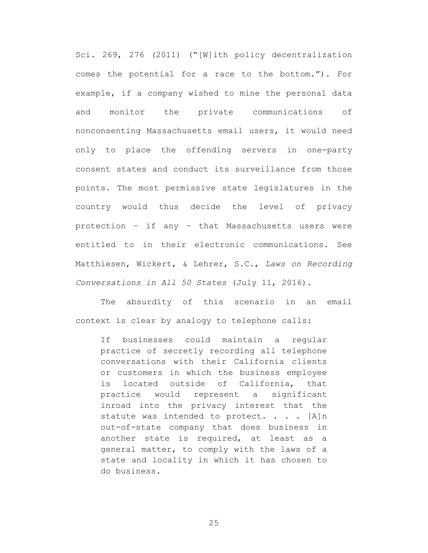Sci. 269, 276 (2011) ("[W]ith policy decentralization comes the potential for a race to the bottom."). For example, if a company wished to mine the personal data and monitor the private communications of nonconsenting Massachusetts email users, it would need only to place the offending servers in one-party consent states and conduct its surveillance from those points. The most permissive state legislatures in the country would thus decide the level of privacy protection – if any – that Massachusetts users were entitled to in their electronic communications. See Matthiesen, Wickert, & Lehrer, S.C., *Laws on Recording Conversations in All 50 States* (July 11, 2016).

The absurdity of this scenario in an email context is clear by analogy to telephone calls:

If businesses could maintain a regular practice of secretly recording all telephone conversations with their California clients or customers in which the business employee is located outside of California, that practice would represent a significant inroad into the privacy interest that the statute was intended to protect. . . . [A]n out-of-state company that does business in another state is required, at least as a general matter, to comply with the laws of a state and locality in which it has chosen to do business.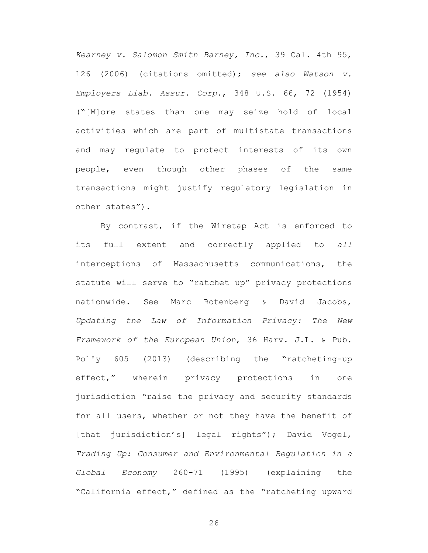*Kearney v. Salomon Smith Barney, Inc.*, 39 Cal. 4th 95, 126 (2006) (citations omitted); *see also Watson v. Employers Liab. Assur. Corp.*, 348 U.S. 66, 72 (1954) ("[M]ore states than one may seize hold of local activities which are part of multistate transactions and may regulate to protect interests of its own people, even though other phases of the same transactions might justify regulatory legislation in other states").

By contrast, if the Wiretap Act is enforced to its full extent and correctly applied to *all* interceptions of Massachusetts communications, the statute will serve to "ratchet up" privacy protections nationwide. See Marc Rotenberg & David Jacobs, *Updating the Law of Information Privacy: The New Framework of the European Union*, 36 Harv. J.L. & Pub. Pol'y 605 (2013) (describing the "ratcheting-up effect," wherein privacy protections in one jurisdiction "raise the privacy and security standards for all users, whether or not they have the benefit of [that jurisdiction's] legal rights"); David Vogel, *Trading Up: Consumer and Environmental Regulation in a Global Economy* 260-71 (1995) (explaining the "California effect," defined as the "ratcheting upward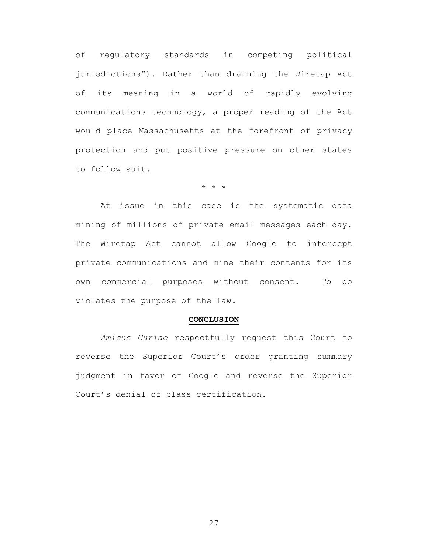of regulatory standards in competing political jurisdictions"). Rather than draining the Wiretap Act of its meaning in a world of rapidly evolving communications technology, a proper reading of the Act would place Massachusetts at the forefront of privacy protection and put positive pressure on other states to follow suit.

\* \* \*

At issue in this case is the systematic data mining of millions of private email messages each day. The Wiretap Act cannot allow Google to intercept private communications and mine their contents for its own commercial purposes without consent. To do violates the purpose of the law.

#### **CONCLUSION**

*Amicus Curiae* respectfully request this Court to reverse the Superior Court's order granting summary judgment in favor of Google and reverse the Superior Court's denial of class certification.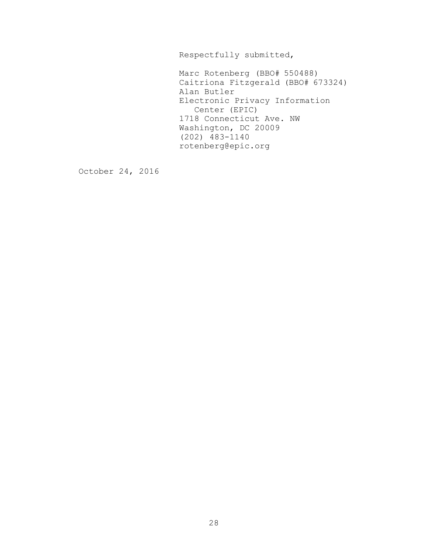Respectfully submitted,

Marc Rotenberg (BBO# 550488) Caitriona Fitzgerald (BBO# 673324) Alan Butler Electronic Privacy Information Center (EPIC) 1718 Connecticut Ave. NW Washington, DC 20009 (202) 483-1140 rotenberg@epic.org

October 24, 2016